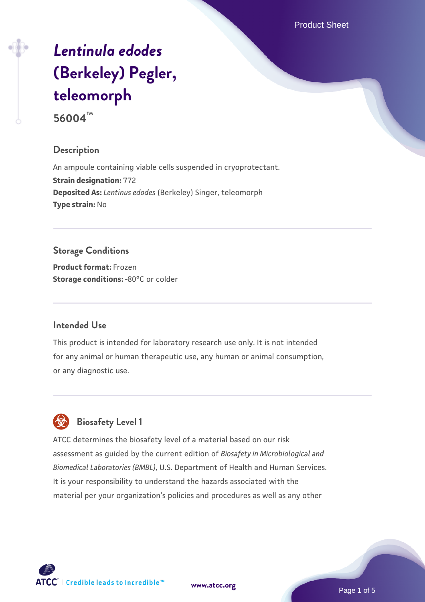Product Sheet

# *[Lentinula edodes](https://www.atcc.org/products/56004)* **[\(Berkeley\) Pegler,](https://www.atcc.org/products/56004) [teleomorph](https://www.atcc.org/products/56004)**

**56004™**

## **Description**

An ampoule containing viable cells suspended in cryoprotectant. **Strain designation:** 772 **Deposited As:** *Lentinus edodes* (Berkeley) Singer, teleomorph **Type strain:** No

# **Storage Conditions**

**Product format:** Frozen **Storage conditions: -80°C** or colder

#### **Intended Use**

This product is intended for laboratory research use only. It is not intended for any animal or human therapeutic use, any human or animal consumption, or any diagnostic use.



# **Biosafety Level 1**

ATCC determines the biosafety level of a material based on our risk assessment as guided by the current edition of *Biosafety in Microbiological and Biomedical Laboratories (BMBL)*, U.S. Department of Health and Human Services. It is your responsibility to understand the hazards associated with the material per your organization's policies and procedures as well as any other

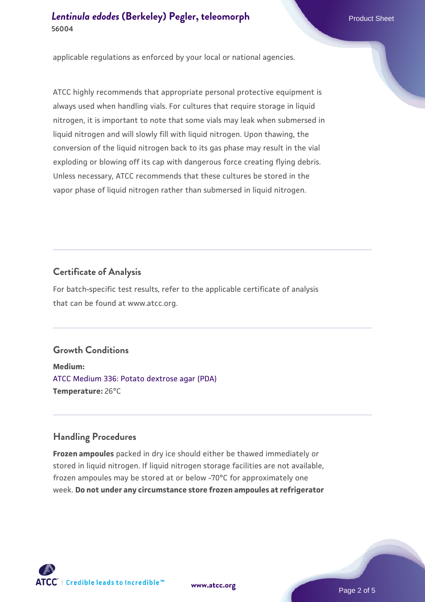applicable regulations as enforced by your local or national agencies.

ATCC highly recommends that appropriate personal protective equipment is always used when handling vials. For cultures that require storage in liquid nitrogen, it is important to note that some vials may leak when submersed in liquid nitrogen and will slowly fill with liquid nitrogen. Upon thawing, the conversion of the liquid nitrogen back to its gas phase may result in the vial exploding or blowing off its cap with dangerous force creating flying debris. Unless necessary, ATCC recommends that these cultures be stored in the vapor phase of liquid nitrogen rather than submersed in liquid nitrogen.

#### **Certificate of Analysis**

For batch-specific test results, refer to the applicable certificate of analysis that can be found at www.atcc.org.

# **Growth Conditions**

**Medium:**  [ATCC Medium 336: Potato dextrose agar \(PDA\)](https://www.atcc.org/-/media/product-assets/documents/microbial-media-formulations/3/3/6/atcc-medium-336.pdf?rev=d9160ad44d934cd8b65175461abbf3b9) **Temperature:** 26°C

#### **Handling Procedures**

**Frozen ampoules** packed in dry ice should either be thawed immediately or stored in liquid nitrogen. If liquid nitrogen storage facilities are not available, frozen ampoules may be stored at or below -70°C for approximately one week. **Do not under any circumstance store frozen ampoules at refrigerator**



**[www.atcc.org](http://www.atcc.org)**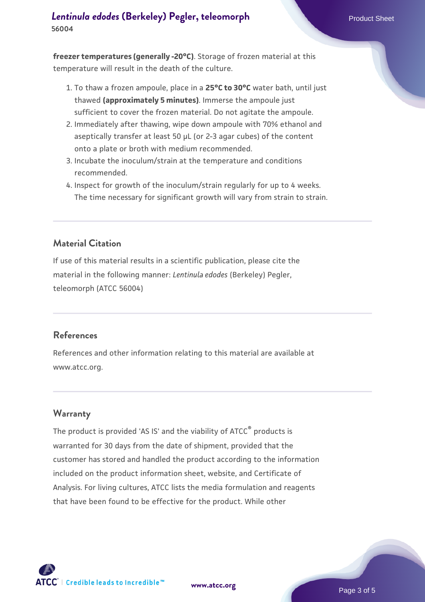**freezer temperatures (generally -20°C)**. Storage of frozen material at this temperature will result in the death of the culture.

- 1. To thaw a frozen ampoule, place in a **25°C to 30°C** water bath, until just thawed **(approximately 5 minutes)**. Immerse the ampoule just sufficient to cover the frozen material. Do not agitate the ampoule.
- 2. Immediately after thawing, wipe down ampoule with 70% ethanol and aseptically transfer at least 50 µL (or 2-3 agar cubes) of the content onto a plate or broth with medium recommended.
- 3. Incubate the inoculum/strain at the temperature and conditions recommended.
- 4. Inspect for growth of the inoculum/strain regularly for up to 4 weeks. The time necessary for significant growth will vary from strain to strain.

#### **Material Citation**

If use of this material results in a scientific publication, please cite the material in the following manner: *Lentinula edodes* (Berkeley) Pegler, teleomorph (ATCC 56004)

#### **References**

References and other information relating to this material are available at www.atcc.org.

#### **Warranty**

The product is provided 'AS IS' and the viability of ATCC<sup>®</sup> products is warranted for 30 days from the date of shipment, provided that the customer has stored and handled the product according to the information included on the product information sheet, website, and Certificate of Analysis. For living cultures, ATCC lists the media formulation and reagents that have been found to be effective for the product. While other



**[www.atcc.org](http://www.atcc.org)**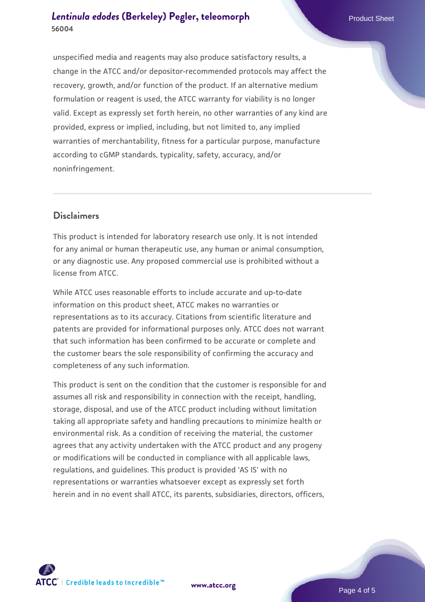unspecified media and reagents may also produce satisfactory results, a change in the ATCC and/or depositor-recommended protocols may affect the recovery, growth, and/or function of the product. If an alternative medium formulation or reagent is used, the ATCC warranty for viability is no longer valid. Except as expressly set forth herein, no other warranties of any kind are provided, express or implied, including, but not limited to, any implied warranties of merchantability, fitness for a particular purpose, manufacture according to cGMP standards, typicality, safety, accuracy, and/or noninfringement.

#### **Disclaimers**

This product is intended for laboratory research use only. It is not intended for any animal or human therapeutic use, any human or animal consumption, or any diagnostic use. Any proposed commercial use is prohibited without a license from ATCC.

While ATCC uses reasonable efforts to include accurate and up-to-date information on this product sheet, ATCC makes no warranties or representations as to its accuracy. Citations from scientific literature and patents are provided for informational purposes only. ATCC does not warrant that such information has been confirmed to be accurate or complete and the customer bears the sole responsibility of confirming the accuracy and completeness of any such information.

This product is sent on the condition that the customer is responsible for and assumes all risk and responsibility in connection with the receipt, handling, storage, disposal, and use of the ATCC product including without limitation taking all appropriate safety and handling precautions to minimize health or environmental risk. As a condition of receiving the material, the customer agrees that any activity undertaken with the ATCC product and any progeny or modifications will be conducted in compliance with all applicable laws, regulations, and guidelines. This product is provided 'AS IS' with no representations or warranties whatsoever except as expressly set forth herein and in no event shall ATCC, its parents, subsidiaries, directors, officers,



**[www.atcc.org](http://www.atcc.org)**

Page 4 of 5